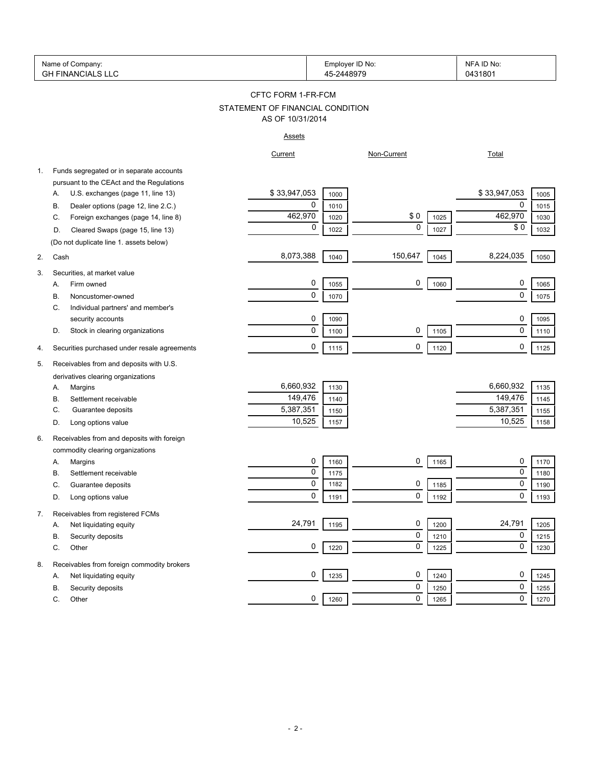|    | Name of Company:<br><b>GH FINANCIALS LLC</b>                     |                                  | Employer ID No:<br>45-2448979 |                     | NFA ID No:<br>0431801 |
|----|------------------------------------------------------------------|----------------------------------|-------------------------------|---------------------|-----------------------|
|    |                                                                  | CFTC FORM 1-FR-FCM               |                               |                     |                       |
|    |                                                                  | STATEMENT OF FINANCIAL CONDITION |                               |                     |                       |
|    |                                                                  | AS OF 10/31/2014                 |                               |                     |                       |
|    |                                                                  | <b>Assets</b>                    |                               |                     |                       |
|    |                                                                  | Current                          |                               | Non-Current         | <b>Total</b>          |
| 1. | Funds segregated or in separate accounts                         |                                  |                               |                     |                       |
|    | pursuant to the CEAct and the Regulations                        |                                  |                               |                     |                       |
|    | U.S. exchanges (page 11, line 13)<br>Α.                          | \$33,947,053                     | 1000                          |                     | \$33,947,053<br>1005  |
|    | Dealer options (page 12, line 2.C.)<br>В.                        | 0                                | 1010                          |                     | 0<br>1015             |
|    | Foreign exchanges (page 14, line 8)<br>C.                        | 462,970                          | 1020                          | \$0<br>1025         | 462,970<br>1030       |
|    | Cleared Swaps (page 15, line 13)<br>D.                           | 0                                | 1022                          | $\mathbf 0$<br>1027 | \$0<br>1032           |
|    | (Do not duplicate line 1. assets below)                          |                                  |                               |                     |                       |
| 2. | Cash                                                             | 8,073,388                        | 1040                          | 150,647<br>1045     | 8,224,035<br>1050     |
| 3. | Securities, at market value                                      |                                  |                               |                     |                       |
|    | Firm owned<br>Α.                                                 | 0                                | 1055                          | 0<br>1060           | 0<br>1065             |
|    | Noncustomer-owned<br>В.                                          | 0                                | 1070                          |                     | $\mathbf 0$<br>1075   |
|    | Individual partners' and member's<br>C.                          |                                  |                               |                     |                       |
|    | security accounts                                                | 0                                | 1090                          |                     | 0<br>1095             |
|    | Stock in clearing organizations<br>D.                            | 0                                | 1100                          | 0<br>1105           | $\mathbf 0$<br>1110   |
|    |                                                                  |                                  |                               |                     |                       |
| 4. | Securities purchased under resale agreements                     | 0                                | 1115                          | 0<br>1120           | 0<br>1125             |
| 5. | Receivables from and deposits with U.S.                          |                                  |                               |                     |                       |
|    | derivatives clearing organizations                               |                                  |                               |                     |                       |
|    | Margins<br>Α.                                                    | 6,660,932                        | 1130                          |                     | 6,660,932<br>1135     |
|    | Settlement receivable<br>В.                                      | 149,476                          | 1140                          |                     | 149,476<br>1145       |
|    | Guarantee deposits<br>C.                                         | 5,387,351                        | 1150                          |                     | 5,387,351<br>1155     |
|    | Long options value<br>D.                                         | 10,525                           | 1157                          |                     | 10,525<br>1158        |
| 6. | Receivables from and deposits with foreign                       |                                  |                               |                     |                       |
|    | commodity clearing organizations                                 |                                  |                               |                     |                       |
|    | Margins<br>Α.                                                    | 0                                | 1160                          | 0<br>1165           | 0<br>1170             |
|    | Settlement receivable<br>В.                                      | 0                                | 1175                          |                     | 0<br>1180             |
|    | C.<br>Guarantee deposits                                         | 0                                | 1182                          | 0<br>1185           | $\mathbf 0$<br>1190   |
|    | Long options value<br>D.                                         | 0                                | 1191                          | 0<br>1192           | 0<br>1193             |
|    |                                                                  |                                  |                               |                     |                       |
| 7. | Receivables from registered FCMs<br>Net liquidating equity<br>А. | 24,791                           | 1195                          | 0<br>1200           | 24,791<br>1205        |
|    | Security deposits<br>В.                                          |                                  |                               | 0<br>1210           | 0<br>1215             |
|    |                                                                  | 0                                | 1220                          | 0<br>1225           | 0<br>1230             |
|    | C.<br>Other                                                      |                                  |                               |                     |                       |
| 8. | Receivables from foreign commodity brokers                       |                                  |                               |                     |                       |
|    | Net liquidating equity<br>А.                                     | 0                                | 1235                          | 0<br>1240           | 0<br>1245             |
|    | В.<br>Security deposits                                          |                                  |                               | 0<br>1250           | 0<br>1255             |
|    | С.<br>Other                                                      | 0                                | 1260                          | 0<br>1265           | 0<br>1270             |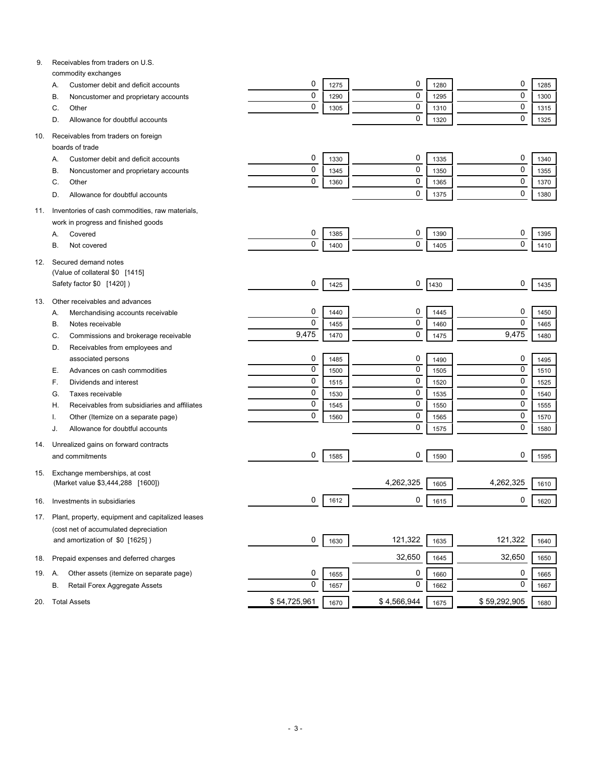| 9.  | Receivables from traders on U.S.                                 |              |      |             |      |              |      |
|-----|------------------------------------------------------------------|--------------|------|-------------|------|--------------|------|
|     | commodity exchanges<br>Customer debit and deficit accounts<br>Α. | 0            | 1275 | 0           | 1280 | 0            | 1285 |
|     | Noncustomer and proprietary accounts<br>В.                       | $\mathbf 0$  | 1290 | 0           | 1295 | $\mathbf 0$  | 1300 |
|     | Other<br>C.                                                      | $\mathbf 0$  | 1305 | 0           | 1310 | $\mathbf 0$  | 1315 |
|     | Allowance for doubtful accounts<br>D.                            |              |      | 0           | 1320 | $\mathbf 0$  | 1325 |
|     |                                                                  |              |      |             |      |              |      |
| 10. | Receivables from traders on foreign                              |              |      |             |      |              |      |
|     | boards of trade                                                  |              |      |             |      |              |      |
|     | Customer debit and deficit accounts<br>Α.                        | 0            | 1330 | 0           | 1335 | 0            | 1340 |
|     | Noncustomer and proprietary accounts<br>B                        | 0            | 1345 | 0           | 1350 | $\mathbf 0$  | 1355 |
|     | Other<br>C.                                                      | 0            | 1360 | 0           | 1365 | $\mathbf 0$  | 1370 |
|     | Allowance for doubtful accounts<br>D.                            |              |      | 0           | 1375 | $\mathbf 0$  | 1380 |
| 11. | Inventories of cash commodities, raw materials,                  |              |      |             |      |              |      |
|     | work in progress and finished goods                              |              |      |             |      |              |      |
|     | Covered<br>Α.                                                    | 0            | 1385 | 0           | 1390 | 0            | 1395 |
|     | В.<br>Not covered                                                | 0            | 1400 | 0           | 1405 | $\mathbf 0$  | 1410 |
|     |                                                                  |              |      |             |      |              |      |
| 12. | Secured demand notes<br>(Value of collateral \$0 [1415]          |              |      |             |      |              |      |
|     | Safety factor \$0 [1420])                                        | 0            |      | 0           |      | 0            |      |
|     |                                                                  |              | 1425 |             | 1430 |              | 1435 |
| 13. | Other receivables and advances                                   |              |      |             |      |              |      |
|     | Merchandising accounts receivable<br>А.                          | 0            | 1440 | 0           | 1445 | 0            | 1450 |
|     | Notes receivable<br>В.                                           | $\mathbf 0$  | 1455 | 0           | 1460 | $\mathbf 0$  | 1465 |
|     | Commissions and brokerage receivable<br>C.                       | 9,475        | 1470 | 0           | 1475 | 9,475        | 1480 |
|     | Receivables from employees and<br>D.                             |              |      |             |      |              |      |
|     | associated persons                                               | 0            | 1485 | 0           | 1490 | 0            | 1495 |
|     | Advances on cash commodities<br>Е.                               | $\mathbf 0$  | 1500 | 0           | 1505 | $\mathbf 0$  | 1510 |
|     | Dividends and interest<br>F.                                     | $\mathbf 0$  | 1515 | 0           | 1520 | $\mathbf 0$  | 1525 |
|     | Taxes receivable<br>G.                                           | $\mathbf 0$  | 1530 | 0           | 1535 | $\mathbf 0$  | 1540 |
|     | Receivables from subsidiaries and affiliates<br>Н.               | $\mathbf 0$  | 1545 | 0           | 1550 | $\mathbf 0$  | 1555 |
|     | Other (Itemize on a separate page)                               | $\mathbf 0$  | 1560 | 0           | 1565 | $\mathbf 0$  | 1570 |
|     | Allowance for doubtful accounts<br>J.                            |              |      | 0           | 1575 | $\mathbf 0$  | 1580 |
| 14. | Unrealized gains on forward contracts                            |              |      |             |      |              |      |
|     | and commitments                                                  | 0            | 1585 | 0           | 1590 | 0            | 1595 |
|     |                                                                  |              |      |             |      |              |      |
| 15. | Exchange memberships, at cost                                    |              |      |             |      |              |      |
|     | (Market value \$3,444,288 [1600])                                |              |      | 4,262,325   | 1605 | 4,262,325    | 1610 |
| 16. | Investments in subsidiaries                                      | 0            | 1612 | 0           | 1615 | 0            | 1620 |
| 17. | Plant, property, equipment and capitalized leases                |              |      |             |      |              |      |
|     | (cost net of accumulated depreciation                            |              |      |             |      |              |      |
|     | and amortization of \$0 [1625])                                  | 0            | 1630 | 121,322     | 1635 | 121,322      | 1640 |
|     |                                                                  |              |      |             |      |              |      |
| 18. | Prepaid expenses and deferred charges                            |              |      | 32,650      | 1645 | 32,650       | 1650 |
| 19. | Other assets (itemize on separate page)<br>Α.                    | 0            | 1655 | 0           | 1660 | 0            | 1665 |
|     | Retail Forex Aggregate Assets<br>В.                              | $\mathbf 0$  | 1657 | 0           | 1662 | 0            | 1667 |
| 20. | <b>Total Assets</b>                                              | \$54,725,961 | 1670 | \$4,566,944 | 1675 | \$59,292,905 | 1680 |
|     |                                                                  |              |      |             |      |              |      |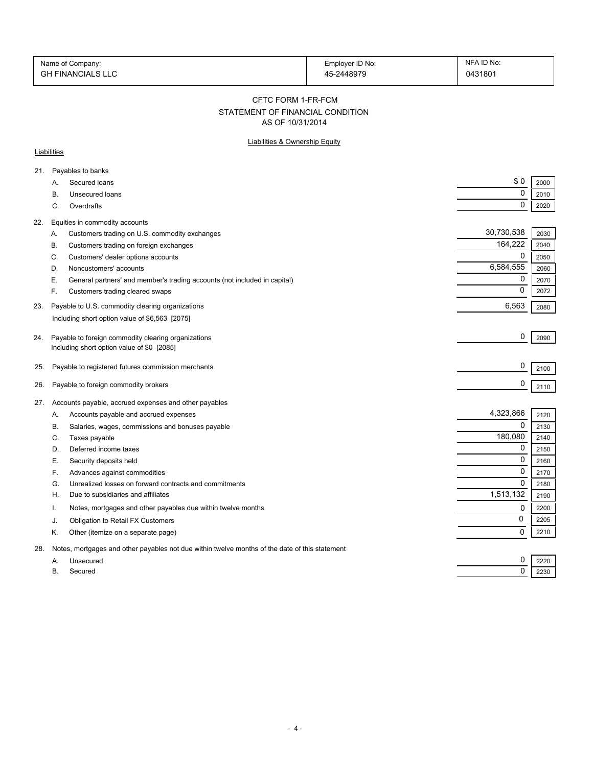| Name of Company:         | Employer ID No: | NFA ID No: |
|--------------------------|-----------------|------------|
| <b>GH FINANCIALS LLC</b> | 45-2448979      | 0431801    |

CFTC FORM 1-FR-FCM

# STATEMENT OF FINANCIAL CONDITION

AS OF 10/31/2014

## Liabilities & Ownership Equity

### **Liabilities**

| 21. |           | Payables to banks                                                                              |             |      |
|-----|-----------|------------------------------------------------------------------------------------------------|-------------|------|
|     | A.        | Secured loans                                                                                  | \$0         | 2000 |
|     | В.        | <b>Unsecured loans</b>                                                                         | $\mathbf 0$ | 2010 |
|     | C.        | Overdrafts                                                                                     | $\Omega$    | 2020 |
| 22. |           | Equities in commodity accounts                                                                 |             |      |
|     | А.        | Customers trading on U.S. commodity exchanges                                                  | 30,730,538  | 2030 |
|     | В.        | Customers trading on foreign exchanges                                                         | 164,222     | 2040 |
|     | C.        | Customers' dealer options accounts                                                             | 0           | 2050 |
|     | D.        | Noncustomers' accounts                                                                         | 6,584,555   | 2060 |
|     | Е.        | General partners' and member's trading accounts (not included in capital)                      | 0           | 2070 |
|     | F.        | Customers trading cleared swaps                                                                | $\Omega$    | 2072 |
| 23. |           | Payable to U.S. commodity clearing organizations                                               | 6,563       | 2080 |
|     |           | Including short option value of \$6,563 [2075]                                                 |             |      |
| 24. |           | Payable to foreign commodity clearing organizations                                            | 0           | 2090 |
|     |           | Including short option value of \$0 [2085]                                                     |             |      |
|     |           |                                                                                                |             |      |
| 25. |           | Payable to registered futures commission merchants                                             | 0           | 2100 |
| 26. |           | Payable to foreign commodity brokers                                                           | 0           | 2110 |
| 27. |           | Accounts payable, accrued expenses and other payables                                          |             |      |
|     | Α.        | Accounts payable and accrued expenses                                                          | 4,323,866   | 2120 |
|     | В.        | Salaries, wages, commissions and bonuses payable                                               | 0           | 2130 |
|     | C.        | Taxes payable                                                                                  | 180,080     | 2140 |
|     | D.        | Deferred income taxes                                                                          | 0           | 2150 |
|     | Е.        | Security deposits held                                                                         | $\Omega$    | 2160 |
|     | F.        | Advances against commodities                                                                   | $\mathbf 0$ | 2170 |
|     | G.        | Unrealized losses on forward contracts and commitments                                         | $\Omega$    | 2180 |
|     | Н.        | Due to subsidiaries and affiliates                                                             | 1,513,132   | 2190 |
|     | Ι.        | Notes, mortgages and other payables due within twelve months                                   | 0           | 2200 |
|     | J.        | Obligation to Retail FX Customers                                                              | 0           | 2205 |
|     | Κ.        | Other (itemize on a separate page)                                                             | $\Omega$    | 2210 |
| 28. |           | Notes, mortgages and other payables not due within twelve months of the date of this statement |             |      |
|     | А.        | Unsecured                                                                                      | 0           | 2220 |
|     | <b>B.</b> | Secured                                                                                        | 0           | 2230 |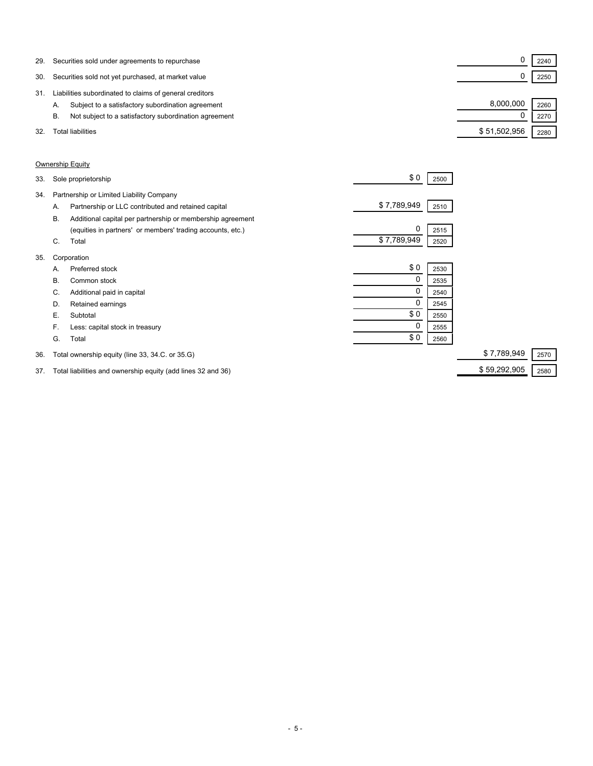| 29. | Securities sold under agreements to repurchase              |              | 2240 |  |
|-----|-------------------------------------------------------------|--------------|------|--|
| 30. | Securities sold not yet purchased, at market value          |              | 2250 |  |
| 31  | Liabilities subordinated to claims of general creditors     |              |      |  |
|     | Subject to a satisfactory subordination agreement<br>А.     | 8.000.000    | 2260 |  |
|     | Not subject to a satisfactory subordination agreement<br>В. |              | 2270 |  |
| 32. | Total liabilities                                           | \$51,502,956 | 2280 |  |

### Ownership Equity

| 33. |    | Sole proprietorship                                        | \$0         | 2500 |             |      |
|-----|----|------------------------------------------------------------|-------------|------|-------------|------|
| 34. |    | Partnership or Limited Liability Company                   |             |      |             |      |
|     | А. | Partnership or LLC contributed and retained capital        | \$7,789,949 | 2510 |             |      |
|     | В. | Additional capital per partnership or membership agreement |             |      |             |      |
|     |    | (equities in partners' or members' trading accounts, etc.) | 0           | 2515 |             |      |
|     | C. | Total                                                      | \$7,789,949 | 2520 |             |      |
| 35. |    | Corporation                                                |             |      |             |      |
|     | Α. | Preferred stock                                            | \$0         | 2530 |             |      |
|     | В. | Common stock                                               | 0           | 2535 |             |      |
|     | C. | Additional paid in capital                                 | 0           | 2540 |             |      |
|     | D. | Retained earnings                                          |             | 2545 |             |      |
|     | Е. | Subtotal                                                   | \$0         | 2550 |             |      |
|     | F. | Less: capital stock in treasury                            | 0           | 2555 |             |      |
|     | G. | Total                                                      | \$0         | 2560 |             |      |
| 36. |    | Total ownership equity (line 33, 34.C. or 35.G)            |             |      | \$7,789,949 | 2570 |

37. Total liabilities and ownership equity (add lines 32 and 36) \$ 59,292,905 2580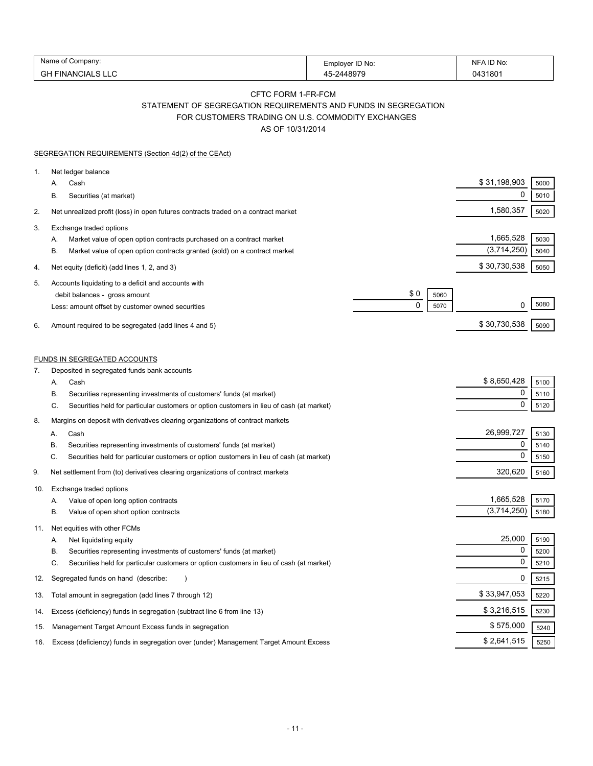| Name<br>∶ompanv:               | Employer ID No: | . ID No<br>NE |
|--------------------------------|-----------------|---------------|
| $\sim$<br>FINANCIALS LLC<br>סט | $AA$ 807 $C$    | 043180        |

## CFTC FORM 1-FR-FCM STATEMENT OF SEGREGATION REQUIREMENTS AND FUNDS IN SEGREGATION FOR CUSTOMERS TRADING ON U.S. COMMODITY EXCHANGES

AS OF 10/31/2014

|     | SEGREGATION REQUIREMENTS (Section 4d(2) of the CEAct)                                          |             |              |      |
|-----|------------------------------------------------------------------------------------------------|-------------|--------------|------|
| 1.  | Net ledger balance                                                                             |             |              |      |
|     | Cash<br>А.                                                                                     |             | \$31,198,903 | 5000 |
|     | В.<br>Securities (at market)                                                                   |             | 0            | 5010 |
| 2.  | Net unrealized profit (loss) in open futures contracts traded on a contract market             |             | 1,580,357    | 5020 |
| 3.  | Exchange traded options                                                                        |             |              |      |
|     | Market value of open option contracts purchased on a contract market<br>А.                     |             | 1,665,528    | 5030 |
|     | Β.<br>Market value of open option contracts granted (sold) on a contract market                |             | (3,714,250)  | 5040 |
| 4.  | Net equity (deficit) (add lines 1, 2, and 3)                                                   |             | \$30,730,538 | 5050 |
| 5.  | Accounts liquidating to a deficit and accounts with                                            |             |              |      |
|     | debit balances - gross amount                                                                  | \$0<br>5060 |              |      |
|     | Less: amount offset by customer owned securities                                               | 0<br>5070   | 0            | 5080 |
| 6.  | Amount required to be segregated (add lines 4 and 5)                                           |             | \$30,730,538 | 5090 |
|     | <b>FUNDS IN SEGREGATED ACCOUNTS</b>                                                            |             |              |      |
| 7.  | Deposited in segregated funds bank accounts                                                    |             |              |      |
|     | Cash<br>А.                                                                                     |             | \$8,650,428  | 5100 |
|     | В.<br>Securities representing investments of customers' funds (at market)                      |             | 0            | 5110 |
|     | C.<br>Securities held for particular customers or option customers in lieu of cash (at market) |             | $\mathbf 0$  | 5120 |
| 8.  | Margins on deposit with derivatives clearing organizations of contract markets                 |             |              |      |
|     | Cash<br>А.                                                                                     |             | 26,999,727   | 5130 |
|     | Securities representing investments of customers' funds (at market)<br>В.                      |             | $\mathbf 0$  | 5140 |
|     | C.<br>Securities held for particular customers or option customers in lieu of cash (at market) |             | $\mathbf 0$  | 5150 |
| 9.  | Net settlement from (to) derivatives clearing organizations of contract markets                |             | 320,620      | 5160 |
| 10. | Exchange traded options                                                                        |             |              |      |
|     | Value of open long option contracts<br>Α.                                                      |             | 1,665,528    | 5170 |
|     | В.<br>Value of open short option contracts                                                     |             | (3,714,250)  | 5180 |
| 11. | Net equities with other FCMs                                                                   |             |              |      |
|     | Net liquidating equity<br>Α.                                                                   |             | 25,000       | 5190 |
|     | В.<br>Securities representing investments of customers' funds (at market)                      |             | 0            | 5200 |
|     | C.<br>Securities held for particular customers or option customers in lieu of cash (at market) |             | 0            | 5210 |
| 12. | Segregated funds on hand (describe:                                                            |             | 0            | 5215 |
| 13. | Total amount in segregation (add lines 7 through 12)                                           |             | \$33,947,053 | 5220 |
| 14. | Excess (deficiency) funds in segregation (subtract line 6 from line 13)                        |             | \$3,216,515  | 5230 |
| 15. | Management Target Amount Excess funds in segregation                                           |             | \$575,000    | 5240 |
| 16. | Excess (deficiency) funds in segregation over (under) Management Target Amount Excess          |             | \$2,641,515  | 5250 |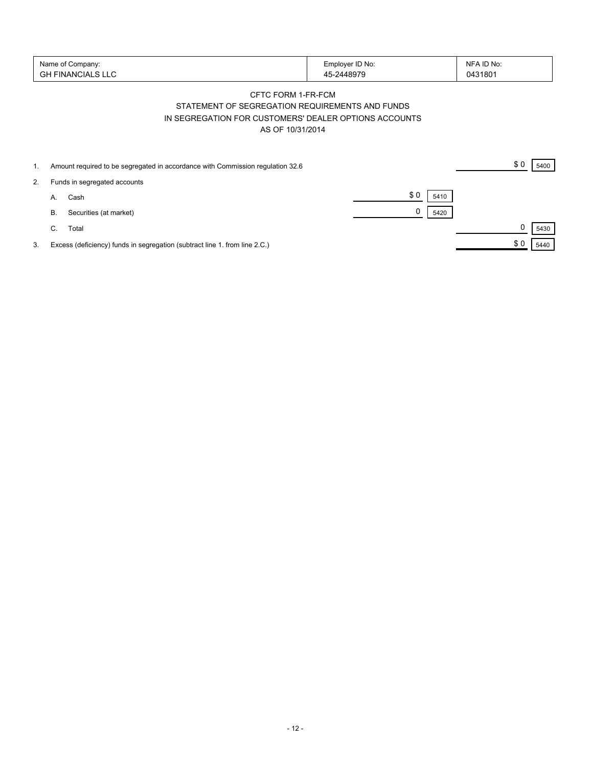| Name of Company:<br>' FINANCIALS LLU<br>GH | Employer ID No:<br>$-2448979$ | NFA ID No:<br>0431801 |
|--------------------------------------------|-------------------------------|-----------------------|
|--------------------------------------------|-------------------------------|-----------------------|

## CFTC FORM 1-FR-FCM STATEMENT OF SEGREGATION REQUIREMENTS AND FUNDS IN SEGREGATION FOR CUSTOMERS' DEALER OPTIONS ACCOUNTS AS OF 10/31/2014

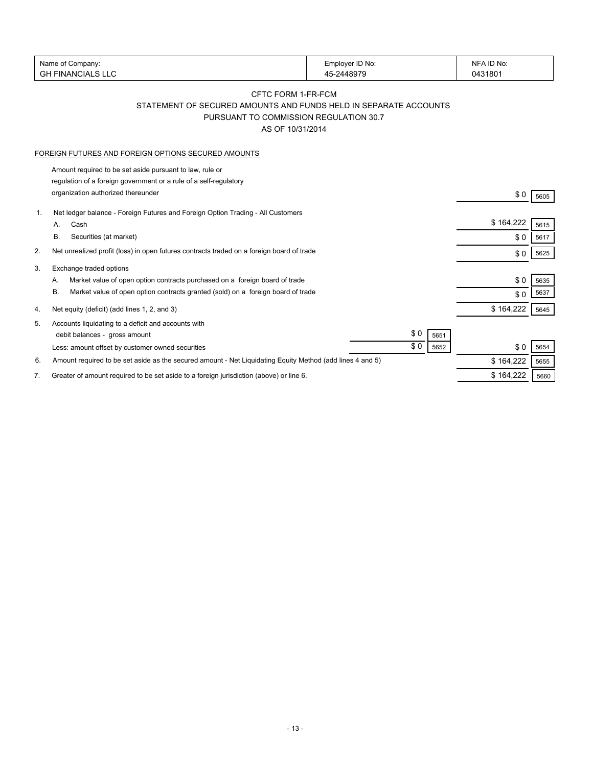| Name of Company:                                                                                                | Employer ID No:                                                  | NFA ID No:        |
|-----------------------------------------------------------------------------------------------------------------|------------------------------------------------------------------|-------------------|
| <b>GH FINANCIALS LLC</b>                                                                                        | 45-2448979                                                       | 0431801           |
|                                                                                                                 | CFTC FORM 1-FR-FCM                                               |                   |
|                                                                                                                 | STATEMENT OF SECURED AMOUNTS AND FUNDS HELD IN SEPARATE ACCOUNTS |                   |
|                                                                                                                 | PURSUANT TO COMMISSION REGULATION 30.7                           |                   |
|                                                                                                                 | AS OF 10/31/2014                                                 |                   |
|                                                                                                                 |                                                                  |                   |
| FOREIGN FUTURES AND FOREIGN OPTIONS SECURED AMOUNTS                                                             |                                                                  |                   |
| Amount required to be set aside pursuant to law, rule or                                                        |                                                                  |                   |
| regulation of a foreign government or a rule of a self-regulatory                                               |                                                                  |                   |
| organization authorized thereunder                                                                              |                                                                  | \$0<br>5605       |
|                                                                                                                 |                                                                  |                   |
| Net ledger balance - Foreign Futures and Foreign Option Trading - All Customers<br>1.                           |                                                                  | \$164,222         |
| Cash<br>А.                                                                                                      |                                                                  | 5615              |
| В.<br>Securities (at market)                                                                                    |                                                                  | \$0<br>5617       |
| Net unrealized profit (loss) in open futures contracts traded on a foreign board of trade<br>2.                 |                                                                  | \$0<br>5625       |
| Exchange traded options<br>3.                                                                                   |                                                                  |                   |
| Market value of open option contracts purchased on a foreign board of trade<br>А.                               |                                                                  | \$0<br>5635       |
| Market value of open option contracts granted (sold) on a foreign board of trade<br>В.                          |                                                                  | 5637<br>\$0       |
|                                                                                                                 |                                                                  | \$164,222         |
| Net equity (deficit) (add lines 1, 2, and 3)<br>4.                                                              |                                                                  | 5645              |
| Accounts liquidating to a deficit and accounts with<br>5.                                                       |                                                                  |                   |
| debit balances - gross amount                                                                                   | \$0<br>5651                                                      |                   |
| Less: amount offset by customer owned securities                                                                | \$0<br>5652                                                      | \$0<br>5654       |
| Amount required to be set aside as the secured amount - Net Liquidating Equity Method (add lines 4 and 5)<br>6. |                                                                  | \$164,222<br>5655 |
| Greater of amount required to be set aside to a foreign jurisdiction (above) or line 6.<br>7.                   |                                                                  | \$164,222<br>5660 |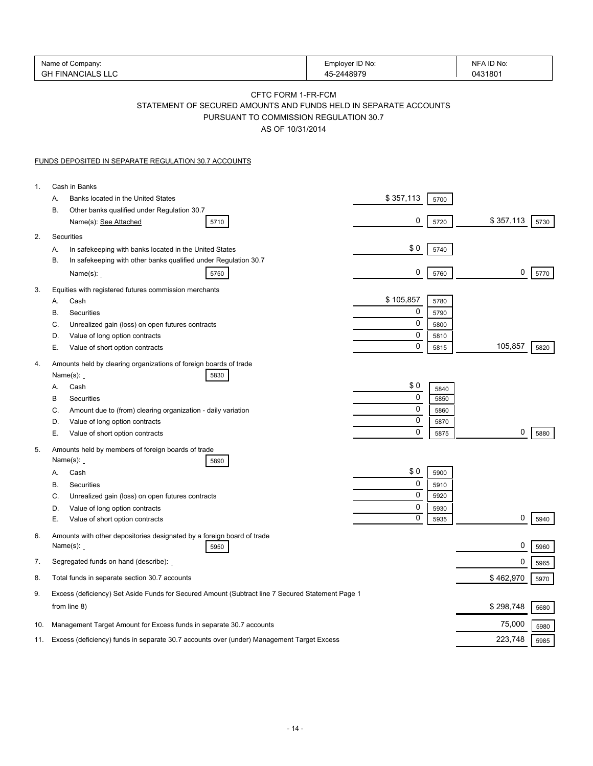|                | Name of Company:<br><b>GH FINANCIALS LLC</b>                                                                                                         | Employer ID No:<br>45-2448979 | NFA ID No:<br>0431801     |
|----------------|------------------------------------------------------------------------------------------------------------------------------------------------------|-------------------------------|---------------------------|
|                | CFTC FORM 1-FR-FCM<br>STATEMENT OF SECURED AMOUNTS AND FUNDS HELD IN SEPARATE ACCOUNTS<br>PURSUANT TO COMMISSION REGULATION 30.7<br>AS OF 10/31/2014 |                               |                           |
|                | <b>FUNDS DEPOSITED IN SEPARATE REGULATION 30.7 ACCOUNTS</b>                                                                                          |                               |                           |
| $\mathbf{1}$ . | Cash in Banks                                                                                                                                        |                               |                           |
|                | Banks located in the United States<br>А.                                                                                                             | \$357,113<br>5700             |                           |
|                | В.<br>Other banks qualified under Regulation 30.7<br>Name(s): See Attached<br>5710                                                                   | 0<br>5720                     | \$357,113<br>5730         |
| 2.             | Securities                                                                                                                                           |                               |                           |
|                | In safekeeping with banks located in the United States<br>А.                                                                                         | \$0<br>5740                   |                           |
|                | In safekeeping with other banks qualified under Regulation 30.7<br>В.                                                                                |                               |                           |
|                | Name $(s)$ :<br>5750                                                                                                                                 | 0                             | 0<br>5770<br>5760         |
| 3.             | Equities with registered futures commission merchants                                                                                                |                               |                           |
|                | Cash<br>А.                                                                                                                                           | \$105,857                     | 5780                      |
|                | В.<br>Securities<br>C.                                                                                                                               | 0<br>0                        | 5790                      |
|                | Unrealized gain (loss) on open futures contracts<br>D.<br>Value of long option contracts                                                             | 0                             | 5800<br>5810              |
|                | Е.<br>Value of short option contracts                                                                                                                | 0                             | 105,857<br>5815<br>5820   |
| 4.             | Amounts held by clearing organizations of foreign boards of trade                                                                                    |                               |                           |
|                | Name $(s)$ :<br>5830                                                                                                                                 |                               |                           |
|                | Cash<br>А.                                                                                                                                           | \$0                           | 5840                      |
|                | В<br>Securities                                                                                                                                      | 0<br>0                        | 5850                      |
|                | C.<br>Amount due to (from) clearing organization - daily variation<br>Value of long option contracts<br>D.                                           | 0                             | 5860<br>5870              |
|                | Е.<br>Value of short option contracts                                                                                                                | 0                             | 0<br>5880<br>5875         |
| 5.             | Amounts held by members of foreign boards of trade                                                                                                   |                               |                           |
|                | Name $(s)$ :<br>5890                                                                                                                                 |                               |                           |
|                | Cash<br>А.                                                                                                                                           | \$0                           | 5900                      |
|                | В.<br>Securities                                                                                                                                     | 0<br>0                        | 5910                      |
|                | C.<br>Unrealized gain (loss) on open futures contracts<br>Value of long option contracts<br>D.                                                       | 0                             | 5920                      |
|                | Е.<br>Value of short option contracts                                                                                                                | 0                             | 5930<br>0<br>5940<br>5935 |
| 6.             | Amounts with other depositories designated by a foreign board of trade                                                                               |                               |                           |
|                | Name $(s)$ :<br>5950                                                                                                                                 |                               | 0<br>5960                 |
| 7.             | Segregated funds on hand (describe):                                                                                                                 |                               | 0<br>5965                 |
| 8.             | Total funds in separate section 30.7 accounts                                                                                                        |                               | \$462,970<br>5970         |
| 9.             | Excess (deficiency) Set Aside Funds for Secured Amount (Subtract line 7 Secured Statement Page 1<br>from line 8)                                     |                               | \$298,748<br>5680         |
| 10.            | Management Target Amount for Excess funds in separate 30.7 accounts                                                                                  |                               | 75,000<br>5980            |
| 11.            | Excess (deficiency) funds in separate 30.7 accounts over (under) Management Target Excess                                                            |                               | 223,748<br>5985           |
|                |                                                                                                                                                      |                               |                           |